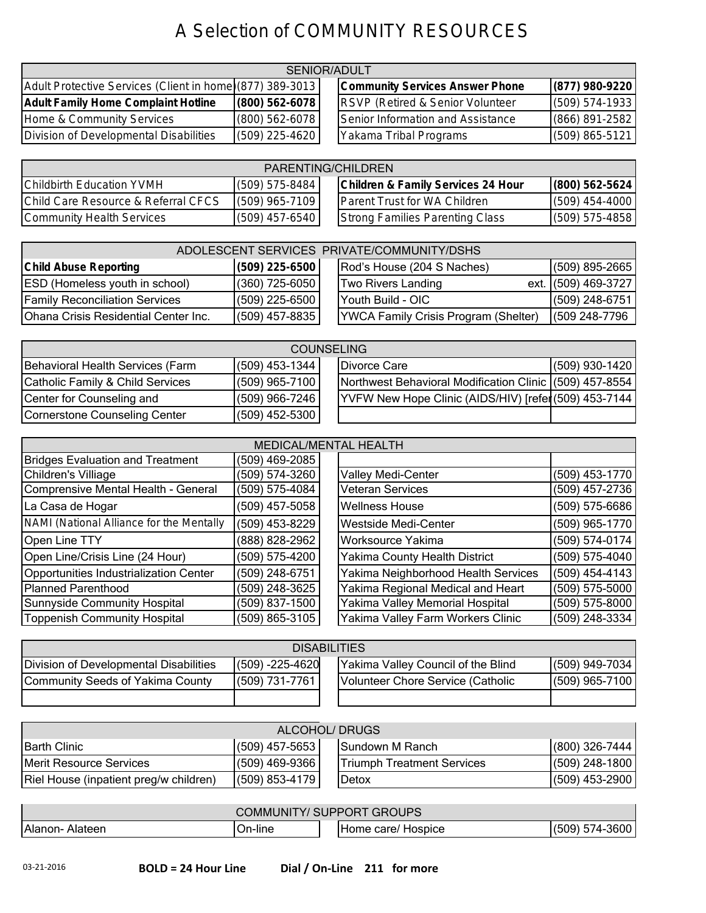## A Selection of COMMUNITY RESOURCES

| SENIOR/ADULT                                              |                  |  |                                             |                    |
|-----------------------------------------------------------|------------------|--|---------------------------------------------|--------------------|
| Adult Protective Services (Client in home) (877) 389-3013 |                  |  | <b>Community Services Answer Phone</b>      | $(877)$ 980-9220   |
| <b>Adult Family Home Complaint Hotline</b>                | $(800)$ 562-6078 |  | <b>RSVP (Retired &amp; Senior Volunteer</b> | $(509) 574-1933$   |
| Home & Community Services                                 | $(800)$ 562-6078 |  | Senior Information and Assistance           | (866) 891-2582     |
| Division of Developmental Disabilities                    | $(509)$ 225-4620 |  | Yakama Tribal Programs                      | $(509) 865 - 5121$ |

| PARENTING/CHILDREN                  |                    |  |                                     |                  |
|-------------------------------------|--------------------|--|-------------------------------------|------------------|
| <b>IChildbirth Education YVMH</b>   | $(509) 575 - 8484$ |  | Children & Family Services 24 Hour  | $(800)$ 562-5624 |
| Child Care Resource & Referral CFCS | $(509)$ 965-7109   |  | <b>Parent Trust for WA Children</b> | $(509)$ 454-4000 |
| Community Health Services           | $(509)$ 457-6540   |  | Strong Families Parenting Class     | $(509)$ 575-4858 |

| ADOLESCENT SERVICES PRIVATE/COMMUNITY/DSHS  |                  |  |                                             |                     |  |
|---------------------------------------------|------------------|--|---------------------------------------------|---------------------|--|
| <b>Child Abuse Reporting</b>                | $(509)$ 225-6500 |  | Rod's House (204 S Naches)                  | $(509)$ 895-2665    |  |
| <b>ESD</b> (Homeless youth in school)       | $(360)$ 725-6050 |  | Two Rivers Landing                          | ext. (509) 469-3727 |  |
| <b>Family Reconciliation Services</b>       | $(509)$ 225-6500 |  | Youth Build - OIC                           | $(509)$ 248-6751    |  |
| <b>Ohana Crisis Residential Center Inc.</b> | $(509)$ 457-8835 |  | <b>YWCA Family Crisis Program (Shelter)</b> | (509 248-7796       |  |

| <b>COUNSELING</b>                |                  |  |                                                         |                  |  |
|----------------------------------|------------------|--|---------------------------------------------------------|------------------|--|
| Behavioral Health Services (Farm | $(509)$ 453-1344 |  | Divorce Care                                            | $(509)$ 930-1420 |  |
| Catholic Family & Child Services | $(509)$ 965-7100 |  | Northwest Behavioral Modification Clinic (509) 457-8554 |                  |  |
| Center for Counseling and        | $(509)$ 966-7246 |  | YVFW New Hope Clinic (AIDS/HIV) [refer(509) 453-7144    |                  |  |
| Cornerstone Counseling Center    | $(509)$ 452-5300 |  |                                                         |                  |  |

| <b>MEDICAL/MENTAL HEALTH</b>             |                  |  |                                     |                |  |
|------------------------------------------|------------------|--|-------------------------------------|----------------|--|
| <b>Bridges Evaluation and Treatment</b>  | (509) 469-2085   |  |                                     |                |  |
| Children's Villiage                      | (509) 574-3260   |  | Valley Medi-Center                  | (509) 453-1770 |  |
| Comprensive Mental Health - General      | (509) 575-4084   |  | <b>Veteran Services</b>             | (509) 457-2736 |  |
| La Casa de Hogar                         | $(509)$ 457-5058 |  | <b>Wellness House</b>               | (509) 575-6686 |  |
| NAMI (National Alliance for the Mentally | $(509)$ 453-8229 |  | <b>Westside Medi-Center</b>         | (509) 965-1770 |  |
| Open Line TTY                            | (888) 828-2962   |  | Worksource Yakima                   | (509) 574-0174 |  |
| Open Line/Crisis Line (24 Hour)          | (509) 575-4200   |  | Yakima County Health District       | (509) 575-4040 |  |
| Opportunities Industrialization Center   | (509) 248-6751   |  | Yakima Neighborhood Health Services | (509) 454-4143 |  |
| Planned Parenthood                       | (509) 248-3625   |  | Yakima Regional Medical and Heart   | (509) 575-5000 |  |
| Sunnyside Community Hospital             | (509) 837-1500   |  | Yakima Valley Memorial Hospital     | (509) 575-8000 |  |
| Toppenish Community Hospital             | (509) 865-3105   |  | Yakima Valley Farm Workers Clinic   | (509) 248-3334 |  |

| <b>DISABILITIES</b>                    |                      |  |                                    |                  |  |
|----------------------------------------|----------------------|--|------------------------------------|------------------|--|
| Division of Developmental Disabilities | $(509) - 225 - 4620$ |  | Yakima Valley Council of the Blind | $(509)$ 949-7034 |  |
| Community Seeds of Yakima County       | (509) 731-7761       |  | Volunteer Chore Service (Catholic  | $(509)$ 965-7100 |  |
|                                        |                      |  |                                    |                  |  |

| ALCOHOL/ DRUGS                         |                  |  |                                   |                  |  |
|----------------------------------------|------------------|--|-----------------------------------|------------------|--|
| <b>IBarth Clinic</b>                   | $(509)$ 457-5653 |  | <b>ISundown M Ranch</b>           | $(800)$ 326-7444 |  |
| Merit Resource Services                | $(509)$ 469-9366 |  | <b>Triumph Treatment Services</b> | $(509)$ 248-1800 |  |
| Riel House (inpatient preg/w children) | $(509) 853-4179$ |  | Detox                             | $(509)$ 453-2900 |  |

| <b>COMMUNITY/ SUPPORT GROUPS</b> |          |                       |                  |  |
|----------------------------------|----------|-----------------------|------------------|--|
| Alanon-<br>Alateen               | IOn-line | Home care/<br>Hospice | $(509) 574-3600$ |  |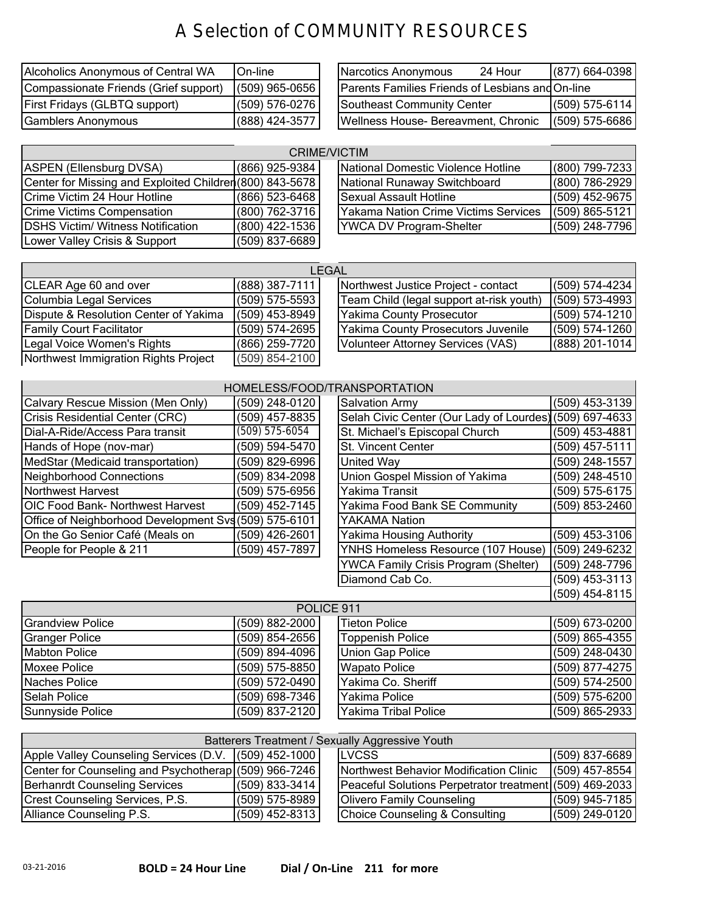## A Selection of COMMUNITY RESOURCES

| Alcoholics Anonymous of Central WA    | <b>IOn-line</b> | Narcotics Anonymous                              | 24 Hour | $(877)$ 664-0398 |
|---------------------------------------|-----------------|--------------------------------------------------|---------|------------------|
| Compassionate Friends (Grief support) | (509) 965-0656  | Parents Families Friends of Lesbians and On-line |         |                  |
| <b>First Fridays (GLBTQ support)</b>  | (509) 576-0276  | Southeast Community Center                       |         | $(509) 575-6114$ |
| Gamblers Anonymous                    | (888) 424-3577  | Wellness House-Bereavment, Chronic               |         | $(509) 575-6686$ |

| Narcotics Anonymous<br>24 Hour                   |                  | (877) 664-0398 |
|--------------------------------------------------|------------------|----------------|
| Parents Families Friends of Lesbians and On-line |                  |                |
| <b>Southeast Community Center</b>                | $(509) 575-6114$ |                |
| Wellness House- Bereavment, Chronic              | $(509)$ 575-6686 |                |

| <b>CRIME/VICTIM</b>                                      |                  |                                      |                    |  |  |
|----------------------------------------------------------|------------------|--------------------------------------|--------------------|--|--|
| ASPEN (Ellensburg DVSA)                                  | (866) 925-9384   | National Domestic Violence Hotline   | (800) 799-7233     |  |  |
| Center for Missing and Exploited Children (800) 843-5678 |                  | National Runaway Switchboard         | (800) 786-2929     |  |  |
| Crime Victim 24 Hour Hotline                             | $(866)$ 523-6468 | Sexual Assault Hotline               | (509) 452-9675     |  |  |
| <b>Crime Victims Compensation</b>                        | $(800)$ 762-3716 | Yakama Nation Crime Victims Services | $(509) 865 - 5121$ |  |  |
| <b>IDSHS Victim/ Witness Notification</b>                | $(800)$ 422-1536 | <b>YWCA DV Program-Shelter</b>       | (509) 248-7796     |  |  |
| Lower Valley Crisis & Support                            | (509) 837-6689   |                                      |                    |  |  |

| LEGAL                                 |                  |  |                                          |                    |  |
|---------------------------------------|------------------|--|------------------------------------------|--------------------|--|
| CLEAR Age 60 and over                 | $(888)$ 387-7111 |  | Northwest Justice Project - contact      | $(509) 574 - 4234$ |  |
| Columbia Legal Services               | $(509)$ 575-5593 |  | Team Child (legal support at-risk youth) | $(509)$ 573-4993   |  |
| Dispute & Resolution Center of Yakima | $(509)$ 453-8949 |  | Yakima County Prosecutor                 | $(509) 574 - 1210$ |  |
| <b>Family Court Facilitator</b>       | $(509)$ 574-2695 |  | Yakima County Prosecutors Juvenile       | $(509) 574 - 1260$ |  |
| Legal Voice Women's Rights            | (866) 259-7720   |  | Volunteer Attorney Services (VAS)        | $(888)$ 201-1014   |  |
| Northwest Immigration Rights Project  | $(509)$ 854-2100 |  |                                          |                    |  |

| HOMELESS/FOOD/TRANSPORTATION                          |  |                  |  |                                                         |  |                |  |
|-------------------------------------------------------|--|------------------|--|---------------------------------------------------------|--|----------------|--|
| Calvary Rescue Mission (Men Only)                     |  | (509) 248-0120   |  | <b>Salvation Army</b>                                   |  | (509) 453-3139 |  |
| Crisis Residential Center (CRC)                       |  | (509) 457-8835   |  | Selah Civic Center (Our Lady of Lourdes) (509) 697-4633 |  |                |  |
| Dial-A-Ride/Access Para transit                       |  | $(509)$ 575-6054 |  | St. Michael's Episcopal Church                          |  | (509) 453-4881 |  |
| Hands of Hope (nov-mar)                               |  | (509) 594-5470   |  | St. Vincent Center                                      |  | (509) 457-5111 |  |
| MedStar (Medicaid transportation)                     |  | (509) 829-6996   |  | United Way                                              |  | (509) 248-1557 |  |
| Neighborhood Connections                              |  | (509) 834-2098   |  | Union Gospel Mission of Yakima                          |  | (509) 248-4510 |  |
| Northwest Harvest                                     |  | (509) 575-6956   |  | Yakima Transit                                          |  | (509) 575-6175 |  |
| <b>OIC Food Bank- Northwest Harvest</b>               |  | (509) 452-7145   |  | Yakima Food Bank SE Community                           |  | (509) 853-2460 |  |
| Office of Neighborhood Development Svs (509) 575-6101 |  |                  |  | YAKAMA Nation                                           |  |                |  |
| On the Go Senior Café (Meals on                       |  | (509) 426-2601   |  | <b>Yakima Housing Authority</b>                         |  | (509) 453-3106 |  |
| People for People & 211                               |  | (509) 457-7897   |  | YNHS Homeless Resource (107 House)                      |  | (509) 249-6232 |  |
|                                                       |  |                  |  | <b>YWCA Family Crisis Program (Shelter)</b>             |  | (509) 248-7796 |  |
|                                                       |  |                  |  | Diamond Cab Co.                                         |  | (509) 453-3113 |  |
|                                                       |  |                  |  |                                                         |  | (509) 454-8115 |  |

|                       |                  |                      | $\blacksquare$   |  |  |  |  |
|-----------------------|------------------|----------------------|------------------|--|--|--|--|
| POLICE 911            |                  |                      |                  |  |  |  |  |
| Grandview Police      | $(509)$ 882-2000 | <b>Tieton Police</b> | $(509)$ 673-0200 |  |  |  |  |
| Granger Police        | $(509)$ 854-2656 | Toppenish Police     | $(509)$ 865-4355 |  |  |  |  |
| <b>IMabton Police</b> | (509) 894-4096   | Union Gap Police     | $(509)$ 248-0430 |  |  |  |  |
| Moxee Police          | $(509)$ 575-8850 | Wapato Police        | $(509)$ 877-4275 |  |  |  |  |
| <b>INaches Police</b> | $(509)$ 572-0490 | Yakima Co. Sheriff   | $(509)$ 574-2500 |  |  |  |  |
| Selah Police          | (509) 698-7346   | Yakima Police        | $(509)$ 575-6200 |  |  |  |  |
| Sunnyside Police      | (509) 837-2120   | Yakima Tribal Police | $(509)$ 865-2933 |  |  |  |  |

| Batterers Treatment / Sexually Aggressive Youth       |                  |  |                                                         |                  |  |  |  |  |
|-------------------------------------------------------|------------------|--|---------------------------------------------------------|------------------|--|--|--|--|
| Apple Valley Counseling Services (D.V. (509) 452-1000 |                  |  | <b>LVCSS</b>                                            | $(509)$ 837-6689 |  |  |  |  |
| Center for Counseling and Psychotherap (509) 966-7246 |                  |  | Northwest Behavior Modification Clinic                  | $(509)$ 457-8554 |  |  |  |  |
| Berhanrdt Counseling Services                         | $(509)$ 833-3414 |  | Peaceful Solutions Perpetrator treatment (509) 469-2033 |                  |  |  |  |  |
| Crest Counseling Services, P.S.                       | $(509)$ 575-8989 |  | <b>Olivero Family Counseling</b>                        | $(509)$ 945-7185 |  |  |  |  |
| Alliance Counseling P.S.                              | $(509)$ 452-8313 |  | <b>Choice Counseling &amp; Consulting</b>               | $(509)$ 249-0120 |  |  |  |  |